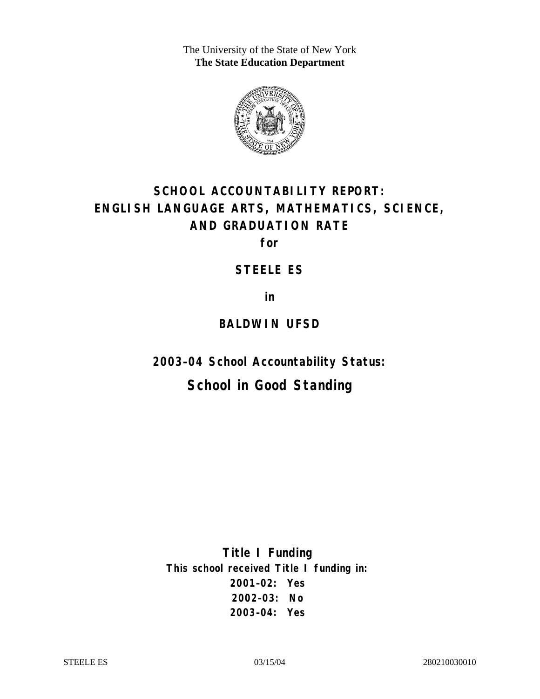The University of the State of New York **The State Education Department** 



# **SCHOOL ACCOUNTABILITY REPORT: ENGLISH LANGUAGE ARTS, MATHEMATICS, SCIENCE, AND GRADUATION RATE**

**for** 

### **STEELE ES**

**in** 

### **BALDWIN UFSD**

**2003–04 School Accountability Status:** 

# **School in Good Standing**

**Title I Funding This school received Title I funding in: 2001–02: Yes 2002–03: No 2003–04: Yes**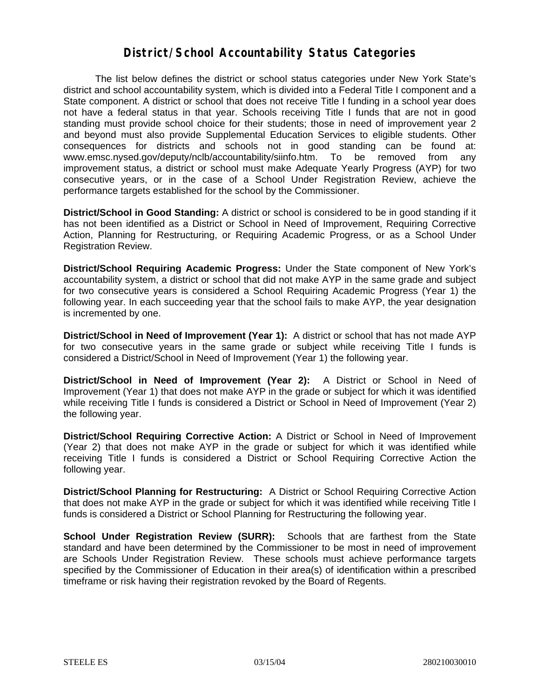### **District/School Accountability Status Categories**

The list below defines the district or school status categories under New York State's district and school accountability system, which is divided into a Federal Title I component and a State component. A district or school that does not receive Title I funding in a school year does not have a federal status in that year. Schools receiving Title I funds that are not in good standing must provide school choice for their students; those in need of improvement year 2 and beyond must also provide Supplemental Education Services to eligible students. Other consequences for districts and schools not in good standing can be found at: www.emsc.nysed.gov/deputy/nclb/accountability/siinfo.htm. To be removed from any improvement status, a district or school must make Adequate Yearly Progress (AYP) for two consecutive years, or in the case of a School Under Registration Review, achieve the performance targets established for the school by the Commissioner.

**District/School in Good Standing:** A district or school is considered to be in good standing if it has not been identified as a District or School in Need of Improvement, Requiring Corrective Action, Planning for Restructuring, or Requiring Academic Progress, or as a School Under Registration Review.

**District/School Requiring Academic Progress:** Under the State component of New York's accountability system, a district or school that did not make AYP in the same grade and subject for two consecutive years is considered a School Requiring Academic Progress (Year 1) the following year. In each succeeding year that the school fails to make AYP, the year designation is incremented by one.

**District/School in Need of Improvement (Year 1):** A district or school that has not made AYP for two consecutive years in the same grade or subject while receiving Title I funds is considered a District/School in Need of Improvement (Year 1) the following year.

**District/School in Need of Improvement (Year 2):** A District or School in Need of Improvement (Year 1) that does not make AYP in the grade or subject for which it was identified while receiving Title I funds is considered a District or School in Need of Improvement (Year 2) the following year.

**District/School Requiring Corrective Action:** A District or School in Need of Improvement (Year 2) that does not make AYP in the grade or subject for which it was identified while receiving Title I funds is considered a District or School Requiring Corrective Action the following year.

**District/School Planning for Restructuring:** A District or School Requiring Corrective Action that does not make AYP in the grade or subject for which it was identified while receiving Title I funds is considered a District or School Planning for Restructuring the following year.

**School Under Registration Review (SURR):** Schools that are farthest from the State standard and have been determined by the Commissioner to be most in need of improvement are Schools Under Registration Review. These schools must achieve performance targets specified by the Commissioner of Education in their area(s) of identification within a prescribed timeframe or risk having their registration revoked by the Board of Regents.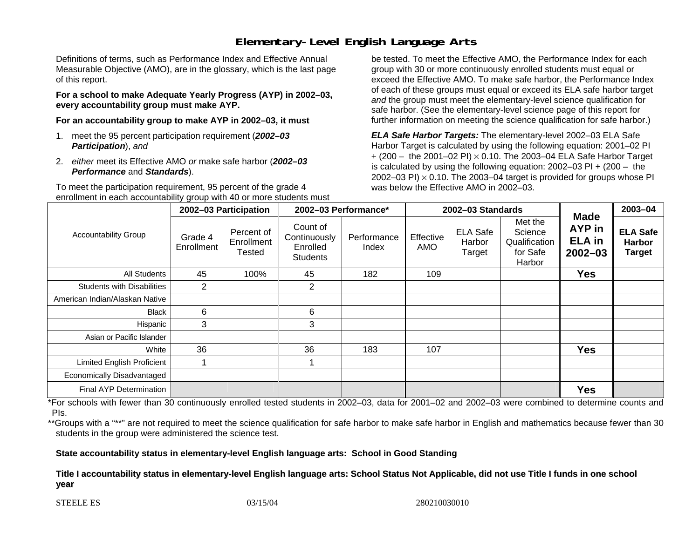# **Elementary-Level English Language Arts**

Definitions of terms, such as Performance Index and Effective Annual Measurable Objective (AMO), are in the glossary, which is the last page of this report.

**For a school to make Adequate Yearly Progress (AYP) in 2002–03, every accountability group must make AYP.** 

**For an accountability group to make AYP in 2002–03, it must** 

- 1. meet the 95 percent participation requirement (*2002–03 Participation*), *and*
- 2. *either* meet its Effective AMO *or* make safe harbor (*2002–03 Performance* and *Standards*).

To meet the participation requirement, 95 percent of the grade 4 enrollment in each accountability group with 40 or more students must

be tested. To meet the Effective AMO, the Performance Index for each group with 30 or more continuously enrolled students must equal or exceed the Effective AMO. To make safe harbor, the Performance Index of each of these groups must equal or exceed its ELA safe harbor target *and* the group must meet the elementary-level science qualification for safe harbor. (See the elementary-level science page of this report for further information on meeting the science qualification for safe harbor.)

*ELA Safe Harbor Targets:* The elementary-level 2002–03 ELA Safe Harbor Target is calculated by using the following equation: 2001–02 PI + (200 – the 2001–02 PI) <sup>×</sup> 0.10. The 2003–04 ELA Safe Harbor Target is calculated by using the following equation: 2002–03 PI + (200 – the 2002–03 PI)  $\times$  0.10. The 2003–04 target is provided for groups whose PI was below the Effective AMO in 2002–03.

| <b>Accountability Group</b>       | 2002-03 Participation |                                    | 2002-03 Performance*                                    |                      | 2002-03 Standards |                                     |                                                           |                                                              | 2003-04                                           |
|-----------------------------------|-----------------------|------------------------------------|---------------------------------------------------------|----------------------|-------------------|-------------------------------------|-----------------------------------------------------------|--------------------------------------------------------------|---------------------------------------------------|
|                                   | Grade 4<br>Enrollment | Percent of<br>Enrollment<br>Tested | Count of<br>Continuously<br>Enrolled<br><b>Students</b> | Performance<br>Index | Effective<br>AMO  | <b>ELA Safe</b><br>Harbor<br>Target | Met the<br>Science<br>Qualification<br>for Safe<br>Harbor | <b>Made</b><br><b>AYP</b> in<br><b>ELA</b> in<br>$2002 - 03$ | <b>ELA Safe</b><br><b>Harbor</b><br><b>Target</b> |
| All Students                      | 45                    | 100%                               | 45                                                      | 182                  | 109               |                                     |                                                           | <b>Yes</b>                                                   |                                                   |
| <b>Students with Disabilities</b> | $\overline{2}$        |                                    | $\overline{2}$                                          |                      |                   |                                     |                                                           |                                                              |                                                   |
| American Indian/Alaskan Native    |                       |                                    |                                                         |                      |                   |                                     |                                                           |                                                              |                                                   |
| <b>Black</b>                      | 6                     |                                    | 6                                                       |                      |                   |                                     |                                                           |                                                              |                                                   |
| Hispanic                          | 3                     |                                    | 3                                                       |                      |                   |                                     |                                                           |                                                              |                                                   |
| Asian or Pacific Islander         |                       |                                    |                                                         |                      |                   |                                     |                                                           |                                                              |                                                   |
| White                             | 36                    |                                    | 36                                                      | 183                  | 107               |                                     |                                                           | <b>Yes</b>                                                   |                                                   |
| <b>Limited English Proficient</b> |                       |                                    |                                                         |                      |                   |                                     |                                                           |                                                              |                                                   |
| Economically Disadvantaged        |                       |                                    |                                                         |                      |                   |                                     |                                                           |                                                              |                                                   |
| <b>Final AYP Determination</b>    |                       |                                    |                                                         |                      |                   |                                     |                                                           | <b>Yes</b>                                                   |                                                   |

\*For schools with fewer than 30 continuously enrolled tested students in 2002–03, data for 2001–02 and 2002–03 were combined to determine counts and PIs.

\*\*Groups with a "\*\*" are not required to meet the science qualification for safe harbor to make safe harbor in English and mathematics because fewer than 30 students in the group were administered the science test.

**State accountability status in elementary-level English language arts: School in Good Standing** 

Title I accountability status in elementary-level English language arts: School Status Not Applicable, did not use Title I funds in one school **y e ar**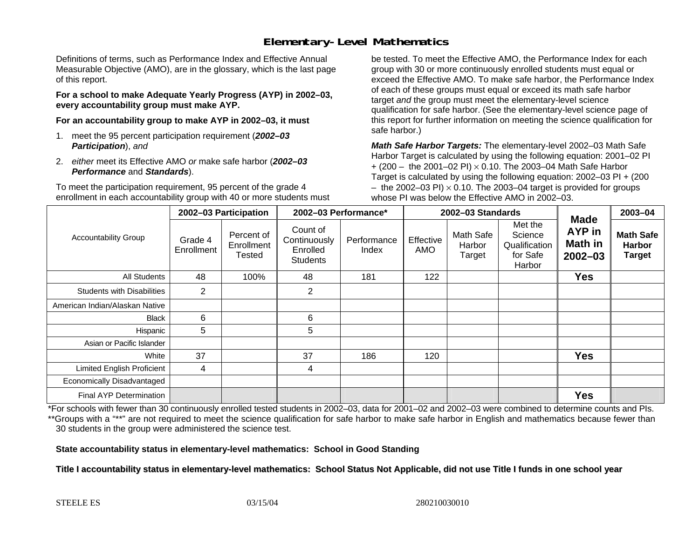# **Elementary-Level Mathematics**

Definitions of terms, such as Performance Index and Effective Annual Measurable Objective (AMO), are in the glossary, which is the last page of this report.

**For a school to make Adequate Yearly Progress (AYP) in 2002–03, every accountability group must make AYP.** 

**For an accountability group to make AYP in 2002–03, it must** 

- 1. meet the 95 percent participation requirement (*2002–03 Participation*), *and*
- 2. *either* meet its Effective AMO *or* make safe harbor (*2002–03 Performance* and *Standards*).

To meet the participation requirement, 95 percent of the grade 4 enrollment in each accountability group with 40 or more students must

be tested. To meet the Effective AMO, the Performance Index for each group with 30 or more continuously enrolled students must equal or exceed the Effective AMO. To make safe harbor, the Performance Index of each of these groups must equal or exceed its math safe harbor target *and* the group must meet the elementary-level science qualification for safe harbor. (See the elementary-level science page of this report for further information on meeting the science qualification for safe harbor.)

*Math Safe Harbor Targets:* The elementary-level 2002–03 Math Safe Harbor Target is calculated by using the following equation: 2001–02 PI + (200 – the 2001–02 PI) × 0.10. The 2003–04 Math Safe Harbor Target is calculated by using the following equation: 2002–03 PI + (200  $-$  the 2002–03 PI)  $\times$  0.10. The 2003–04 target is provided for groups whose PI was below the Effective AMO in 2002–03.

| <b>Accountability Group</b>       | 2002-03 Participation |                                           | 2002-03 Performance*                                    |                      | 2002-03 Standards |                               |                                                           |                                                 | 2003-04                                            |
|-----------------------------------|-----------------------|-------------------------------------------|---------------------------------------------------------|----------------------|-------------------|-------------------------------|-----------------------------------------------------------|-------------------------------------------------|----------------------------------------------------|
|                                   | Grade 4<br>Enrollment | Percent of<br>Enrollment<br><b>Tested</b> | Count of<br>Continuously<br>Enrolled<br><b>Students</b> | Performance<br>Index | Effective<br>AMO  | Math Safe<br>Harbor<br>Target | Met the<br>Science<br>Qualification<br>for Safe<br>Harbor | <b>Made</b><br>AYP in<br>Math in<br>$2002 - 03$ | <b>Math Safe</b><br><b>Harbor</b><br><b>Target</b> |
| All Students                      | 48                    | 100%                                      | 48                                                      | 181                  | 122               |                               |                                                           | <b>Yes</b>                                      |                                                    |
| <b>Students with Disabilities</b> | 2                     |                                           | $\overline{2}$                                          |                      |                   |                               |                                                           |                                                 |                                                    |
| American Indian/Alaskan Native    |                       |                                           |                                                         |                      |                   |                               |                                                           |                                                 |                                                    |
| <b>Black</b>                      | 6                     |                                           | 6                                                       |                      |                   |                               |                                                           |                                                 |                                                    |
| Hispanic                          | $5\overline{)}$       |                                           | 5                                                       |                      |                   |                               |                                                           |                                                 |                                                    |
| Asian or Pacific Islander         |                       |                                           |                                                         |                      |                   |                               |                                                           |                                                 |                                                    |
| White                             | 37                    |                                           | 37                                                      | 186                  | 120               |                               |                                                           | <b>Yes</b>                                      |                                                    |
| <b>Limited English Proficient</b> | 4                     |                                           | 4                                                       |                      |                   |                               |                                                           |                                                 |                                                    |
| Economically Disadvantaged        |                       |                                           |                                                         |                      |                   |                               |                                                           |                                                 |                                                    |
| <b>Final AYP Determination</b>    |                       |                                           |                                                         |                      |                   |                               |                                                           | <b>Yes</b>                                      |                                                    |

\*For schools with fewer than 30 continuously enrolled tested students in 2002–03, data for 2001–02 and 2002–03 were combined to determine counts and PIs. \*\*Groups with a "\*\*" are not required to meet the science qualification for safe harbor to make safe harbor in English and mathematics because fewer than 30 students in the group were administered the science test.

**State accountability status in elementary-level mathematics: School in Good Standing** 

Title I accountability status in elementary-level mathematics: School Status Not Applicable, did not use Title I funds in one school year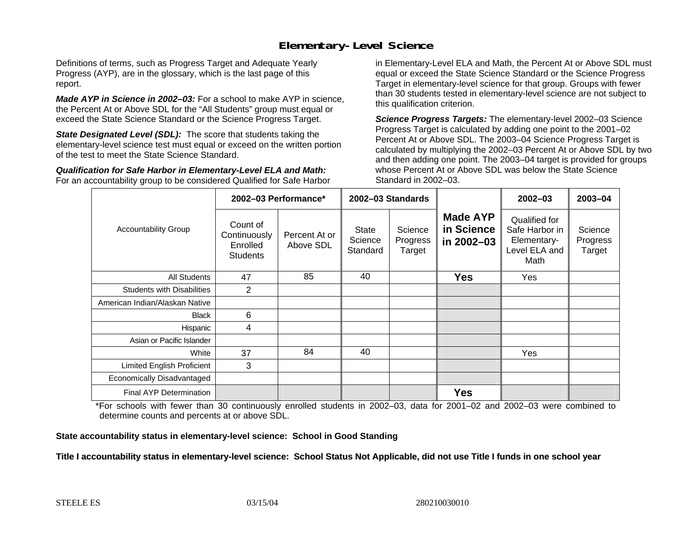## **Elementary-Level Science**

Definitions of terms, such as Progress Target and Adequate Yearly Progress (AYP), are in the glossary, which is the last page of this report.

*Made AYP in Science in 2002–03:* For a school to make AYP in science, the Percent At or Above SDL for the "All Students" group must equal or exceed the State Science Standard or the Science Progress Target.

**State Designated Level (SDL):** The score that students taking the elementary-level science test must equal or exceed on the written portion of the test to meet the State Science Standard.

*Qualification for Safe Harbor in Elementary-Level ELA and Math:* For an accountability group to be considered Qualified for Safe Harbor in Elementary-Level ELA and Math, the Percent At or Above SDL must equal or exceed the State Science Standard or the Science Progress Target in elementary-level science for that group. Groups with fewer than 30 students tested in elementary-level science are not subject to this qualification criterion.

*Science Progress Targets:* The elementary-level 2002–03 Science Progress Target is calculated by adding one point to the 2001–02 Percent At or Above SDL. The 2003–04 Science Progress Target is calculated by multiplying the 2002–03 Percent At or Above SDL by two and then adding one point. The 2003–04 target is provided for groups whose Percent At or Above SDL was below the State Science Standard in 2002–03.

|                                   | 2002-03 Performance*                                    |                            | 2002-03 Standards                   |                               |                                             | $2002 - 03$                                                             | $2003 - 04$                   |
|-----------------------------------|---------------------------------------------------------|----------------------------|-------------------------------------|-------------------------------|---------------------------------------------|-------------------------------------------------------------------------|-------------------------------|
| <b>Accountability Group</b>       | Count of<br>Continuously<br>Enrolled<br><b>Students</b> | Percent At or<br>Above SDL | <b>State</b><br>Science<br>Standard | Science<br>Progress<br>Target | <b>Made AYP</b><br>in Science<br>in 2002-03 | Qualified for<br>Safe Harbor in<br>Elementary-<br>Level ELA and<br>Math | Science<br>Progress<br>Target |
| All Students                      | 47                                                      | 85                         | 40                                  |                               | <b>Yes</b>                                  | Yes                                                                     |                               |
| <b>Students with Disabilities</b> | $\overline{2}$                                          |                            |                                     |                               |                                             |                                                                         |                               |
| American Indian/Alaskan Native    |                                                         |                            |                                     |                               |                                             |                                                                         |                               |
| <b>Black</b>                      | 6                                                       |                            |                                     |                               |                                             |                                                                         |                               |
| Hispanic                          | 4                                                       |                            |                                     |                               |                                             |                                                                         |                               |
| Asian or Pacific Islander         |                                                         |                            |                                     |                               |                                             |                                                                         |                               |
| White                             | 37                                                      | 84                         | 40                                  |                               |                                             | <b>Yes</b>                                                              |                               |
| Limited English Proficient        | 3                                                       |                            |                                     |                               |                                             |                                                                         |                               |
| Economically Disadvantaged        |                                                         |                            |                                     |                               |                                             |                                                                         |                               |
| <b>Final AYP Determination</b>    |                                                         |                            |                                     |                               | <b>Yes</b>                                  |                                                                         |                               |

\*For schools with fewer than 30 continuously enrolled students in 2002–03, data for 2001–02 and 2002–03 were combined to determine counts and percents at or above SDL.

#### **State accountability status in elementary-level science: School in Good Standing**

#### Title I accountability status in elementary-level science: School Status Not Applicable, did not use Title I funds in one school year